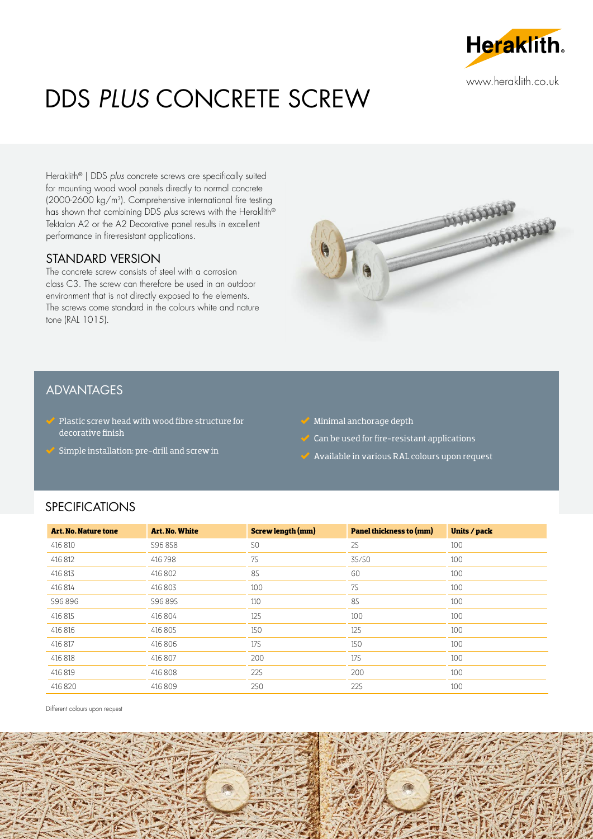

# DDS *PLUS* CONCRETE SCREW

Heraklith® | DDS *plus* concrete screws are specifically suited for mounting wood wool panels directly to normal concrete (2000-2600 kg/m3). Comprehensive international fire testing has shown that combining DDS *plus* screws with the Heraklith® Tektalan A2 or the A2 Decorative panel results in excellent performance in fire-resistant applications.

#### STANDARD VERSION

The concrete screw consists of steel with a corrosion class C3. The screw can therefore be used in an outdoor environment that is not directly exposed to the elements. The screws come standard in the colours white and nature tone (RAL 1015).



### ADVANTAGES

- $\blacktriangleright$  Plastic screw head with wood fibre structure for decorative finish
- $\checkmark$  Simple installation: pre-drill and screw in
- $\blacktriangleright$  Minimal anchorage depth
- Can be used for fire-resistant applications
- Available in various RAL colours upon request

### SPECIFICATIONS

| Art. No. Nature tone | Art. No. White | Screw length (mm) | Panel thickness to (mm) | Units / pack |
|----------------------|----------------|-------------------|-------------------------|--------------|
| 416 810              | 596858         | 50                | 25                      | 100          |
| 416 812              | 416798         | 75                | 35/50                   | 100          |
| 416 813              | 416 802        | 85                | 60                      | 100          |
| 416 814              | 416 803        | 100               | 75                      | 100          |
| 596896               | 596 895        | 110               | 85                      | 100          |
| 416 815              | 416 804        | 125               | 100                     | 100          |
| 416 816              | 416 805        | 150               | 125                     | 100          |
| 416 817              | 416 806        | 175               | 150                     | 100          |
| 416 818              | 416 807        | 200               | 175                     | 100          |
| 416 819              | 416 808        | 225               | 200                     | 100          |
| 416 820              | 416 809        | 250               | 225                     | 100          |

Different colours upon request